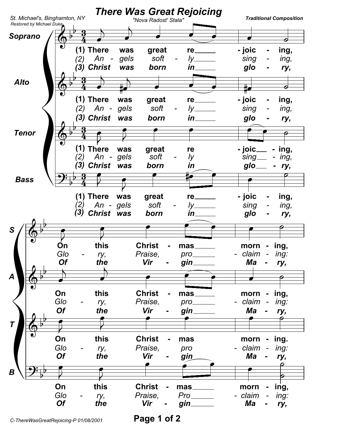